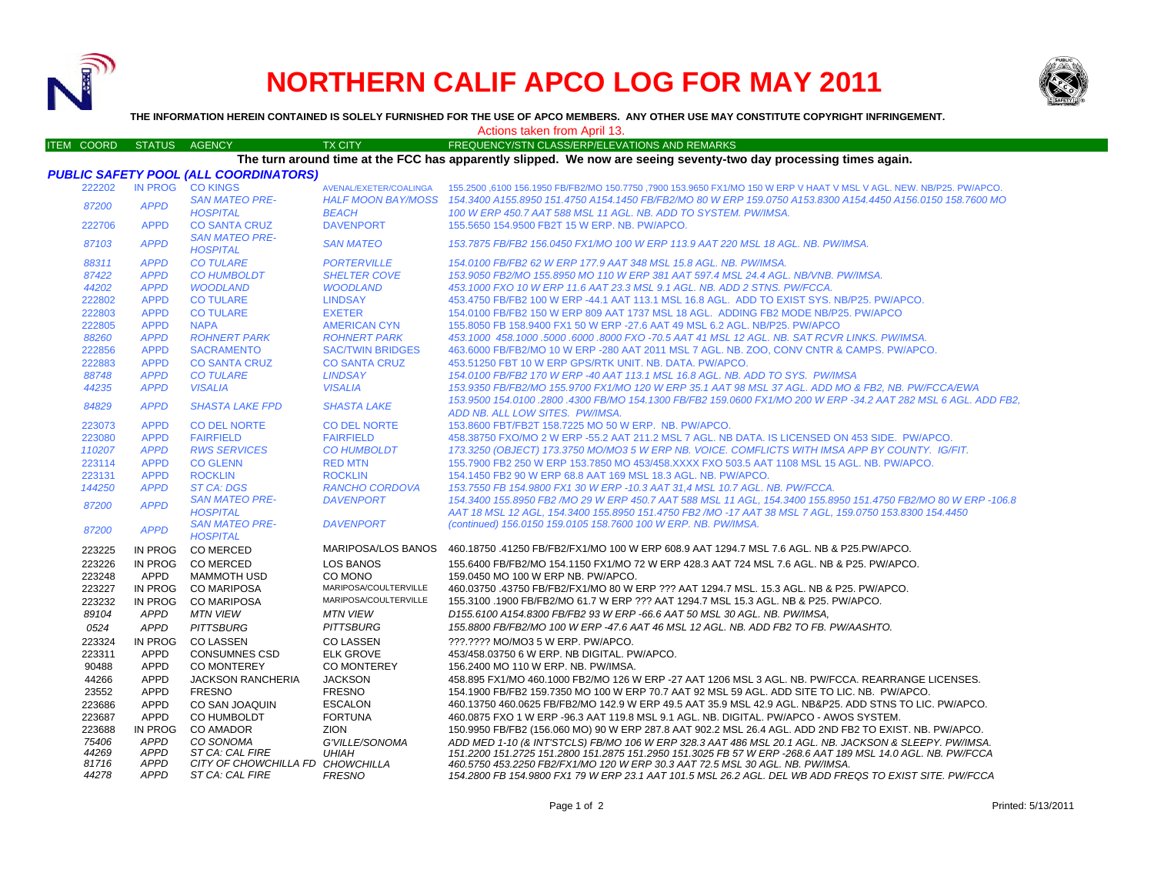

*APPD ST CA: CAL FIR E*

## **NORTHERN CALIF APCO LOG FOR MAY 2011**



**THE INFORMATION HEREIN CONTAINED IS SOLELY FURNISHED FOR THE USE OF APCO MEMBERS. ANY OTHER USE MAY CONSTITUTE COPYRIGHT INFRINGEMENT.**

Actions taken from April 13.

| <b>ITEM COORD</b> | <b>STATUS</b>  | <b>AGENCY</b>                                | <b>TX CITY</b>                            | FREQUENCY/STN CLASS/ERP/ELEVATIONS AND REMARKS                                                                                                                                                                           |
|-------------------|----------------|----------------------------------------------|-------------------------------------------|--------------------------------------------------------------------------------------------------------------------------------------------------------------------------------------------------------------------------|
|                   |                |                                              |                                           | The turn around time at the FCC has apparently slipped. We now are seeing seventy-two day processing times again.                                                                                                        |
|                   |                | <b>PUBLIC SAFETY POOL (ALL COORDINATORS)</b> |                                           |                                                                                                                                                                                                                          |
| 222202            | <b>IN PROG</b> | <b>CO KINGS</b>                              | AVENAL/EXETER/COALINGA                    | 155.2500 ,6100 156.1950 FB/FB2/MO 150.7750 ,7900 153.9650 FX1/MO 150 W ERP V HAAT V MSL V AGL. NEW. NB/P25. PW/APCO.                                                                                                     |
| 87200             | <b>APPD</b>    | <b>SAN MATEO PRE-</b><br><b>HOSPITAL</b>     | <b>HALF MOON BAY/MOSS</b><br><b>BEACH</b> | 154.3400 A155.8950 151.4750 A154.1450 FB/FB2/MO 80 W ERP 159.0750 A153.8300 A154.4450 A156.0150 158.7600 MO<br>100 W ERP 450.7 AAT 588 MSL 11 AGL. NB. ADD TO SYSTEM. PW/IMSA.                                           |
| 222706            | <b>APPD</b>    | <b>CO SANTA CRUZ</b>                         | <b>DAVENPORT</b>                          | 155,5650 154,9500 FB2T 15 W ERP, NB, PW/APCO,                                                                                                                                                                            |
| 87103             | <b>APPD</b>    | <b>SAN MATEO PRE-</b><br><b>HOSPITAL</b>     | <b>SAN MATEO</b>                          | 153.7875 FB/FB2 156.0450 FX1/MO 100 W ERP 113.9 AAT 220 MSL 18 AGL. NB. PW/IMSA.                                                                                                                                         |
| 88311             | <b>APPD</b>    | <b>CO TULARE</b>                             | <b>PORTERVILLE</b>                        | 154.0100 FB/FB2 62 W ERP 177.9 AAT 348 MSL 15.8 AGL, NB, PW/IMSA,                                                                                                                                                        |
| 87422             | <b>APPD</b>    | <b>CO HUMBOLDT</b>                           | <b>SHELTER COVE</b>                       | 153.9050 FB2/MO 155.8950 MO 110 W ERP 381 AAT 597.4 MSL 24.4 AGL, NB/VNB, PW/IMSA,                                                                                                                                       |
| 44202             | <b>APPD</b>    | <b>WOODLAND</b>                              | <b>WOODLAND</b>                           | 453.1000 FXO 10 W ERP 11.6 AAT 23.3 MSL 9.1 AGL, NB, ADD 2 STNS, PW/FCCA.                                                                                                                                                |
| 222802            | <b>APPD</b>    | <b>CO TULARE</b>                             | <b>LINDSAY</b>                            | 453.4750 FB/FB2 100 W ERP -44.1 AAT 113.1 MSL 16.8 AGL. ADD TO EXIST SYS. NB/P25. PW/APCO.                                                                                                                               |
| 222803            | <b>APPD</b>    | <b>CO TULARE</b>                             | <b>EXETER</b>                             | 154.0100 FB/FB2 150 W ERP 809 AAT 1737 MSL 18 AGL. ADDING FB2 MODE NB/P25. PW/APCO                                                                                                                                       |
| 222805            | <b>APPD</b>    | <b>NAPA</b>                                  | <b>AMERICAN CYN</b>                       | 155,8050 FB 158,9400 FX1 50 W ERP -27.6 AAT 49 MSL 6.2 AGL, NB/P25, PW/APCO                                                                                                                                              |
| 88260             | <b>APPD</b>    | <b>ROHNERT PARK</b>                          | <b>ROHNERT PARK</b>                       | 453.1000 458.1000 .5000 .6000 .8000 FXO -70.5 AAT 41 MSL 12 AGL. NB. SAT RCVR LINKS. PW/IMSA.                                                                                                                            |
| 222856            | <b>APPD</b>    | <b>SACRAMENTO</b>                            | <b>SAC/TWIN BRIDGES</b>                   | 463,6000 FB/FB2/MO 10 W ERP -280 AAT 2011 MSL 7 AGL, NB, ZOO, CONV CNTR & CAMPS, PW/APCO,                                                                                                                                |
| 222883            | <b>APPD</b>    | <b>CO SANTA CRUZ</b>                         | <b>CO SANTA CRUZ</b>                      | 453.51250 FBT 10 W ERP GPS/RTK UNIT. NB. DATA. PW/APCO.                                                                                                                                                                  |
| 88748             | <b>APPD</b>    | <b>CO TULARE</b>                             | <b>LINDSAY</b>                            | 154.0100 FB/FB2 170 W ERP -40 AAT 113.1 MSL 16.8 AGL. NB. ADD TO SYS. PW/IMSA                                                                                                                                            |
| 44235             | <b>APPD</b>    | <b>VISALIA</b>                               | <b>VISALIA</b>                            | 153.9350 FB/FB2/MO 155.9700 FX1/MO 120 W ERP 35.1 AAT 98 MSL 37 AGL. ADD MO & FB2, NB. PW/FCCA/EWA                                                                                                                       |
| 84829             | <b>APPD</b>    | <b>SHASTA LAKE FPD</b>                       | <b>SHASTA LAKE</b>                        | 153,9500 154,0100 .2800 .4300 FB/MO 154,1300 FB/FB2 159,0600 FX1/MO 200 W ERP -34.2 AAT 282 MSL 6 AGL, ADD FB2,<br>ADD NB. ALL LOW SITES. PW/IMSA.                                                                       |
| 223073            | <b>APPD</b>    | <b>CO DEL NORTE</b>                          | <b>CO DEL NORTE</b>                       | 153.8600 FBT/FB2T 158.7225 MO 50 W ERP. NB. PW/APCO.                                                                                                                                                                     |
| 223080            | <b>APPD</b>    | <b>FAIRFIELD</b>                             | <b>FAIRFIELD</b>                          | 458.38750 FXO/MO 2 W ERP -55.2 AAT 211.2 MSL 7 AGL. NB DATA. IS LICENSED ON 453 SIDE. PW/APCO.                                                                                                                           |
| 110207            | <b>APPD</b>    | <b>RWS SERVICES</b>                          | <b>CO HUMBOLDT</b>                        | 173.3250 (OBJECT) 173.3750 MO/MO3 5 W ERP NB. VOICE. COMFLICTS WITH IMSA APP BY COUNTY. IG/FIT.                                                                                                                          |
| 223114            | <b>APPD</b>    | <b>CO GLENN</b>                              | <b>RED MTN</b>                            | 155.7900 FB2 250 W ERP 153.7850 MO 453/458.XXXX FXO 503.5 AAT 1108 MSL 15 AGL. NB. PW/APCO.                                                                                                                              |
| 223131            | <b>APPD</b>    | <b>ROCKLIN</b>                               | <b>ROCKLIN</b>                            | 154,1450 FB2 90 W ERP 68.8 AAT 169 MSL 18.3 AGL, NB, PW/APCO,                                                                                                                                                            |
| 144250            | <b>APPD</b>    | <b>ST CA: DGS</b>                            | <b>RANCHO CORDOVA</b>                     | 153.7550 FB 154.9800 FX1 30 W ERP -10.3 AAT 31,4 MSL 10.7 AGL. NB. PW/FCCA.                                                                                                                                              |
| 87200             | <b>APPD</b>    | <b>SAN MATEO PRE-</b><br><b>HOSPITAL</b>     | <b>DAVENPORT</b>                          | 154.3400 155.8950 FB2 /MO 29 W ERP 450.7 AAT 588 MSL 11 AGL, 154.3400 155.8950 151.4750 FB2/MO 80 W ERP -106.8<br>AAT 18 MSL 12 AGL, 154.3400 155.8950 151.4750 FB2 /MO -17 AAT 38 MSL 7 AGL, 159.0750 153.8300 154.4450 |
| 87200             | <b>APPD</b>    | <b>SAN MATEO PRE-</b><br><b>HOSPITAL</b>     | <b>DAVENPORT</b>                          | (continued) 156.0150 159.0105 158.7600 100 W ERP. NB. PW/IMSA.                                                                                                                                                           |
| 223225            | IN PROG        | <b>CO MERCED</b>                             | <b>MARIPOSA/LOS BANOS</b>                 | 460.18750 .41250 FB/FB2/FX1/MO 100 W ERP 608.9 AAT 1294.7 MSL 7.6 AGL. NB & P25.PW/APCO.                                                                                                                                 |
| 223226            | IN PROG        | <b>CO MERCED</b>                             | <b>LOS BANOS</b>                          | 155.6400 FB/FB2/MO 154.1150 FX1/MO 72 W ERP 428.3 AAT 724 MSL 7.6 AGL. NB & P25. PW/APCO.                                                                                                                                |
| 223248            | APPD           | <b>MAMMOTH USD</b>                           | CO MONO                                   | 159.0450 MO 100 W ERP NB, PW/APCO.                                                                                                                                                                                       |
| 223227            | IN PROG        | <b>CO MARIPOSA</b>                           | MARIPOSA/COULTERVILLE                     | 460.03750 .43750 FB/FB2/FX1/MO 80 W ERP ??? AAT 1294.7 MSL. 15.3 AGL. NB & P25. PW/APCO.                                                                                                                                 |
| 223232            | IN PROG        | <b>CO MARIPOSA</b>                           | MARIPOSA/COULTERVILLE                     | 155.3100 .1900 FB/FB2/MO 61.7 W ERP ??? AAT 1294.7 MSL 15.3 AGL. NB & P25. PW/APCO.                                                                                                                                      |
| 89104             | <b>APPD</b>    | <b>MTN VIEW</b>                              | <b>MTN VIEW</b>                           | D155.6100 A154.8300 FB/FB2 93 W ERP -66.6 AAT 50 MSL 30 AGL. NB. PW/IMSA,                                                                                                                                                |
| 0524              | <b>APPD</b>    | <b>PITTSBURG</b>                             | <b>PITTSBURG</b>                          | 155.8800 FB/FB2/MO 100 W ERP -47.6 AAT 46 MSL 12 AGL. NB. ADD FB2 TO FB. PW/AASHTO.                                                                                                                                      |
| 223324            | IN PROG        | <b>CO LASSEN</b>                             | <b>CO LASSEN</b>                          | ???.???? MO/MO3 5 W ERP. PW/APCO.                                                                                                                                                                                        |
| 223311            | APPD           | <b>CONSUMNES CSD</b>                         | <b>ELK GROVE</b>                          | 453/458.03750 6 W ERP. NB DIGITAL. PW/APCO.                                                                                                                                                                              |
| 90488             | <b>APPD</b>    | <b>CO MONTEREY</b>                           | <b>CO MONTEREY</b>                        | 156.2400 MO 110 W ERP. NB. PW/IMSA.                                                                                                                                                                                      |
| 44266             | <b>APPD</b>    | <b>JACKSON RANCHERIA</b>                     | <b>JACKSON</b>                            | 458.895 FX1/MO 460.1000 FB2/MO 126 W ERP -27 AAT 1206 MSL 3 AGL. NB. PW/FCCA. REARRANGE LICENSES.                                                                                                                        |
| 23552             | <b>APPD</b>    | <b>FRESNO</b>                                | <b>FRESNO</b>                             | 154.1900 FB/FB2 159.7350 MO 100 W ERP 70.7 AAT 92 MSL 59 AGL. ADD SITE TO LIC. NB. PW/APCO.                                                                                                                              |
| 223686            | <b>APPD</b>    | CO SAN JOAQUIN                               | <b>ESCALON</b>                            | 460.13750 460.0625 FB/FB2/MO 142.9 W ERP 49.5 AAT 35.9 MSL 42.9 AGL. NB&P25. ADD STNS TO LIC. PW/APCO.                                                                                                                   |
| 223687            | <b>APPD</b>    | CO HUMBOLDT                                  | <b>FORTUNA</b>                            | 460.0875 FXO 1 W ERP -96.3 AAT 119.8 MSL 9.1 AGL. NB. DIGITAL. PW/APCO - AWOS SYSTEM.                                                                                                                                    |
| 223688            | IN PROG        | CO AMADOR                                    | <b>ZION</b>                               | 150.9950 FB/FB2 (156.060 MO) 90 W ERP 287.8 AAT 902.2 MSL 26.4 AGL, ADD 2ND FB2 TO EXIST, NB, PW/APCO,                                                                                                                   |
| 75406             | <b>APPD</b>    | CO SONOMA                                    | G'VILLE/SONOMA                            | ADD MED 1-10 (& INT'STCLS) FB/MO 106 W ERP 328.3 AAT 486 MSL 20.1 AGL. NB. JACKSON & SLEEPY. PW/IMSA.                                                                                                                    |
| 44269             | <b>APPD</b>    | ST CA: CAL FIRE                              | <b>UHIAH</b>                              | 151.2200 151.2725 151.2800 151.2875 151.2950 151.3025 FB 57 W ERP -268.6 AAT 189 MSL 14.0 AGL. NB. PW/FCCA                                                                                                               |
| 81716             | <b>APPD</b>    | CITY OF CHOWCHILLA FD CHOWCHILLA             |                                           | 460.5750 453.2250 FB2/FX1/MO 120 W ERP 30.3 AAT 72.5 MSL 30 AGL. NB. PW/IMSA.                                                                                                                                            |
| 44278             | <b>APPD</b>    | ST CA: CAL FIRE                              | <b>FRESNO</b>                             | 154.2800 FB 154.9800 FX1 79 W ERP 23.1 AAT 101.5 MSL 26.2 AGL. DEL WB ADD FREQS TO EXIST SITE. PW/FCCA                                                                                                                   |